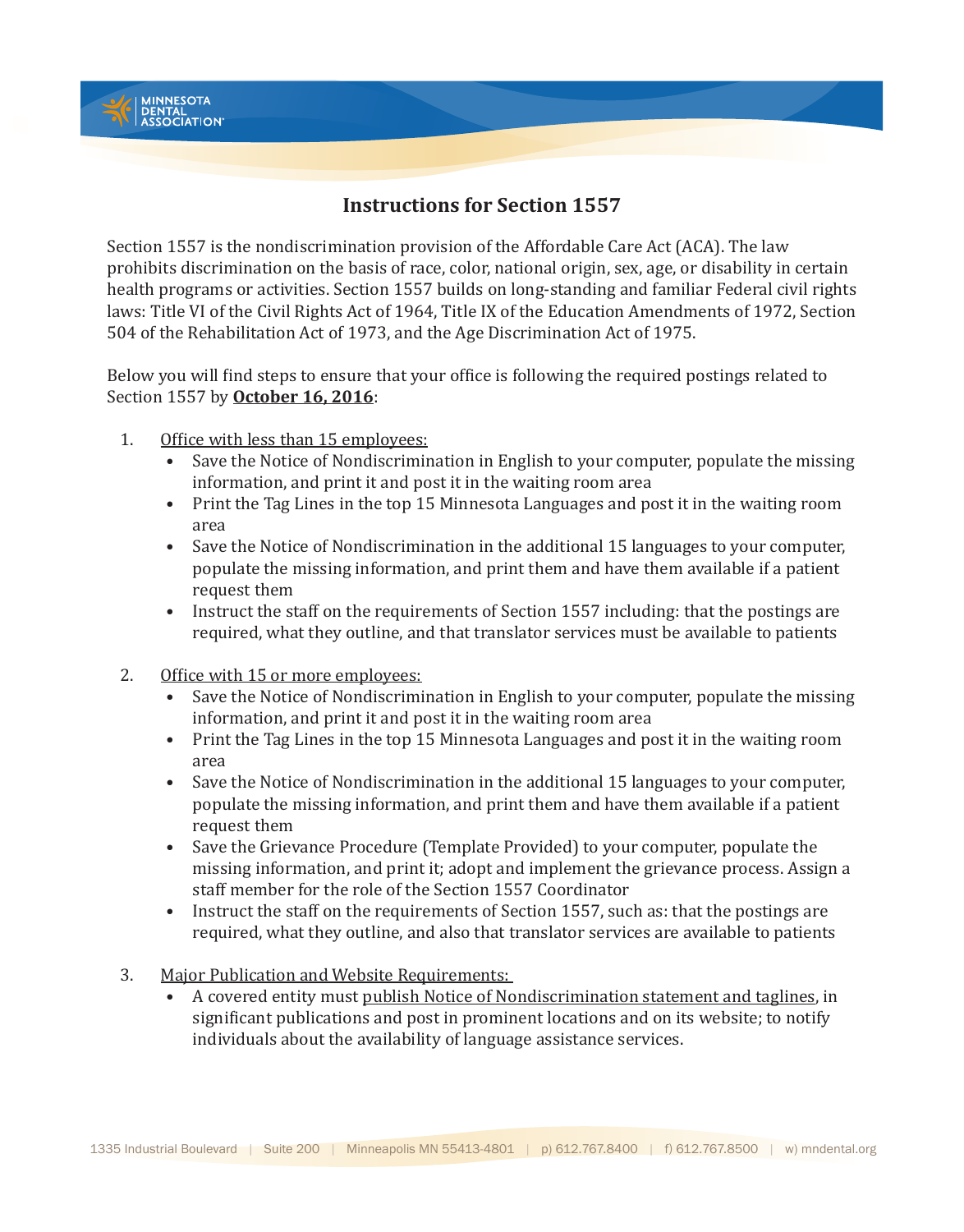

Section 1557 is the nondiscrimination provision of the Affordable Care Act (ACA). The law prohibits discrimination on the basis of race, color, national origin, sex, age, or disability in certain health programs or activities. Section 1557 builds on long-standing and familiar Federal civil rights laws: Title VI of the Civil Rights Act of 1964, Title IX of the Education Amendments of 1972, Section 504 of the Rehabilitation Act of 1973, and the Age Discrimination Act of 1975.

Below you will find steps to ensure that your office is following the required postings related to Section 1557 by **October 16, 2016**:

1. Office with less than 15 employees:

**JINNESOTA** MINNESOTA<br>DENTAL<br>ASSOCIATION®

- Save the Notice of Nondiscrimination in English to your computer, populate the missing information, and print it and post it in the waiting room area
- Print the Tag Lines in the top 15 Minnesota Languages and post it in the waiting room area
- Save the Notice of Nondiscrimination in the additional 15 languages to your computer, populate the missing information, and print them and have them available if a patient request them
- Instruct the staff on the requirements of Section 1557 including: that the postings are required, what they outline, and that translator services must be available to patients
- 2. Office with 15 or more employees:
	- Save the Notice of Nondiscrimination in English to your computer, populate the missing information, and print it and post it in the waiting room area
	- Print the Tag Lines in the top 15 Minnesota Languages and post it in the waiting room area
	- Save the Notice of Nondiscrimination in the additional 15 languages to your computer, populate the missing information, and print them and have them available if a patient request them
	- Save the Grievance Procedure (Template Provided) to your computer, populate the missing information, and print it; adopt and implement the grievance process. Assign a staff member for the role of the Section 1557 Coordinator
	- Instruct the staff on the requirements of Section 1557, such as: that the postings are required, what they outline, and also that translator services are available to patients
- 3. Major Publication and Website Requirements:
	- A covered entity must publish Notice of Nondiscrimination statement and taglines, in significant publications and post in prominent locations and on its website; to notify individuals about the availability of language assistance services.